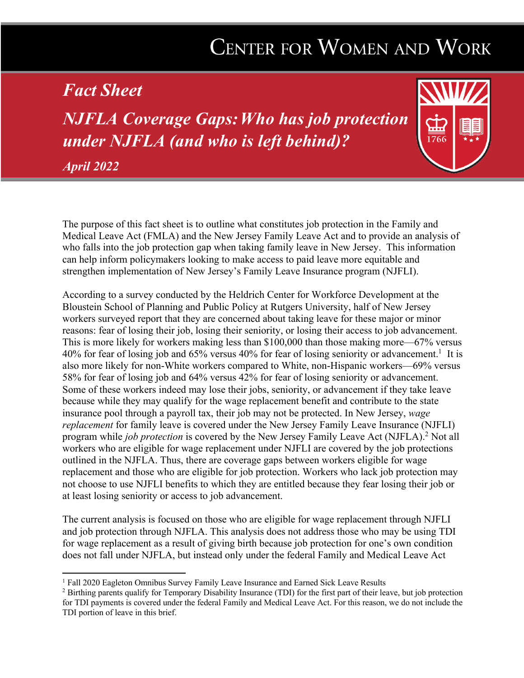# CENTER FOR WOMEN AND WORK

# *Fact Sheet*

*NJFLA Coverage Gaps:Who has job protection under NJFLA (and who is left behind)?*



The purpose of this fact sheet is to outline what constitutes job protection in the Family and Medical Leave Act (FMLA) and the New Jersey Family Leave Act and to provide an analysis of who falls into the job protection gap when taking family leave in New Jersey. This information can help inform policymakers looking to make access to paid leave more equitable and strengthen implementation of New Jersey's Family Leave Insurance program (NJFLI).

According to a survey conducted by the Heldrich Center for Workforce Development at the Bloustein School of Planning and Public Policy at Rutgers University, half of New Jersey workers surveyed report that they are concerned about taking leave for these major or minor reasons: fear of losing their job, losing their seniority, or losing their access to job advancement. This is more likely for workers making less than \$100,000 than those making more—67% versus 40% for fear of losing job and 65% versus 40% for fear of losing seniority or advancement.<sup>1</sup> It is also more likely for non-White workers compared to White, non-Hispanic workers—69% versus 58% for fear of losing job and 64% versus 42% for fear of losing seniority or advancement. Some of these workers indeed may lose their jobs, seniority, or advancement if they take leave because while they may qualify for the wage replacement benefit and contribute to the state insurance pool through a payroll tax, their job may not be protected. In New Jersey, *wage replacement* for family leave is covered under the New Jersey Family Leave Insurance (NJFLI) program while *job protection* is covered by the New Jersey Family Leave Act (NJFLA).2 Not all workers who are eligible for wage replacement under NJFLI are covered by the job protections outlined in the NJFLA. Thus, there are coverage gaps between workers eligible for wage replacement and those who are eligible for job protection. Workers who lack job protection may not choose to use NJFLI benefits to which they are entitled because they fear losing their job or at least losing seniority or access to job advancement.

The current analysis is focused on those who are eligible for wage replacement through NJFLI and job protection through NJFLA. This analysis does not address those who may be using TDI for wage replacement as a result of giving birth because job protection for one's own condition does not fall under NJFLA, but instead only under the federal Family and Medical Leave Act

<sup>&</sup>lt;sup>1</sup> Fall 2020 Eagleton Omnibus Survey Family Leave Insurance and Earned Sick Leave Results

<sup>&</sup>lt;sup>2</sup> Birthing parents qualify for Temporary Disability Insurance (TDI) for the first part of their leave, but job protection for TDI payments is covered under the federal Family and Medical Leave Act. For this reason, we do not include the TDI portion of leave in this brief.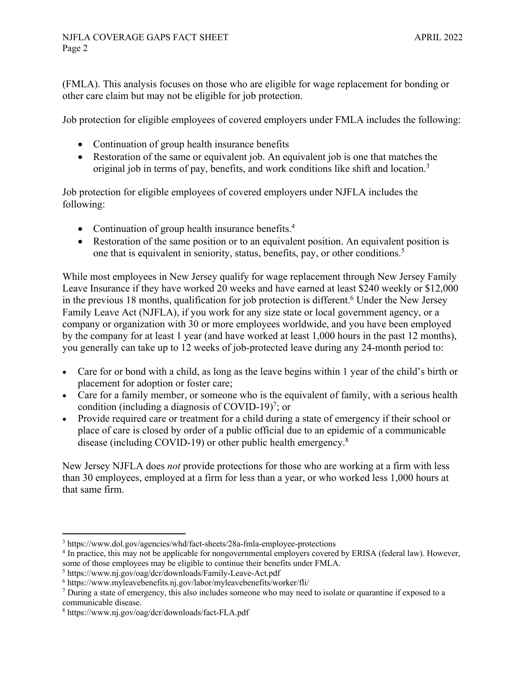(FMLA). This analysis focuses on those who are eligible for wage replacement for bonding or other care claim but may not be eligible for job protection.

Job protection for eligible employees of covered employers under FMLA includes the following:

- Continuation of group health insurance benefits
- Restoration of the same or equivalent job. An equivalent job is one that matches the original job in terms of pay, benefits, and work conditions like shift and location.3

Job protection for eligible employees of covered employers under NJFLA includes the following:

- Continuation of group health insurance benefits.<sup>4</sup>
- Restoration of the same position or to an equivalent position. An equivalent position is one that is equivalent in seniority, status, benefits, pay, or other conditions.<sup>5</sup>

While most employees in New Jersey qualify for wage replacement through New Jersey Family Leave Insurance if they have worked 20 weeks and have earned at least \$240 weekly or \$12,000 in the previous 18 months, qualification for job protection is different.<sup>6</sup> Under the New Jersey Family Leave Act (NJFLA), if you work for any size state or local government agency, or a company or organization with 30 or more employees worldwide, and you have been employed by the company for at least 1 year (and have worked at least 1,000 hours in the past 12 months), you generally can take up to 12 weeks of job-protected leave during any 24-month period to:

- Care for or bond with a child, as long as the leave begins within 1 year of the child's birth or placement for adoption or foster care;
- Care for a family member, or someone who is the equivalent of family, with a serious health condition (including a diagnosis of COVID-19)<sup>7</sup>; or
- Provide required care or treatment for a child during a state of emergency if their school or place of care is closed by order of a public official due to an epidemic of a communicable disease (including COVID-19) or other public health emergency.8

New Jersey NJFLA does *not* provide protections for those who are working at a firm with less than 30 employees, employed at a firm for less than a year, or who worked less 1,000 hours at that same firm.

<sup>3</sup> https://www.dol.gov/agencies/whd/fact-sheets/28a-fmla-employee-protections

<sup>4</sup> In practice, this may not be applicable for nongovernmental employers covered by ERISA (federal law). However, some of those employees may be eligible to continue their benefits under FMLA.

<sup>5</sup> https://www.nj.gov/oag/dcr/downloads/Family-Leave-Act.pdf

 $6$  https://www.myleavebenefits.nj.gov/labor/myleavebenefits/worker/fli/

<sup>&</sup>lt;sup>7</sup> During a state of emergency, this also includes someone who may need to isolate or quarantine if exposed to a communicable disease.

<sup>8</sup> https://www.nj.gov/oag/dcr/downloads/fact-FLA.pdf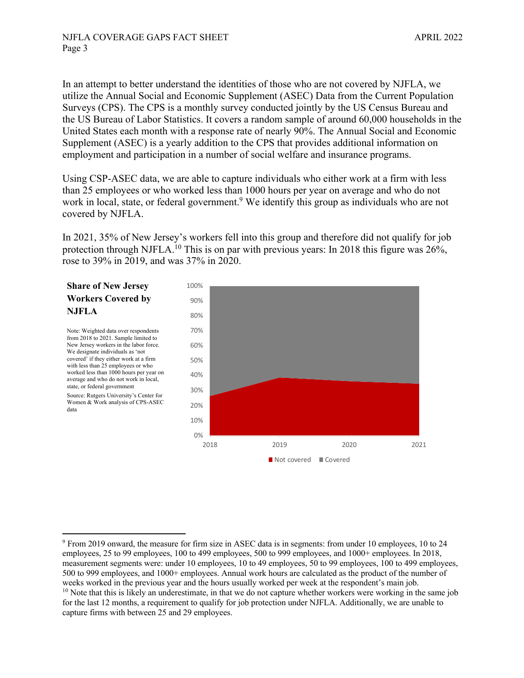In an attempt to better understand the identities of those who are not covered by NJFLA, we utilize the Annual Social and Economic Supplement (ASEC) Data from the Current Population Surveys (CPS). The CPS is a monthly survey conducted jointly by the US Census Bureau and the US Bureau of Labor Statistics. It covers a random sample of around 60,000 households in the United States each month with a response rate of nearly 90%. The Annual Social and Economic Supplement (ASEC) is a yearly addition to the CPS that provides additional information on employment and participation in a number of social welfare and insurance programs.

Using CSP-ASEC data, we are able to capture individuals who either work at a firm with less than 25 employees or who worked less than 1000 hours per year on average and who do not work in local, state, or federal government.<sup>9</sup> We identify this group as individuals who are not covered by NJFLA.

In 2021, 35% of New Jersey's workers fell into this group and therefore did not qualify for job protection through NJFLA.<sup>10</sup> This is on par with previous years: In 2018 this figure was 26%, rose to 39% in 2019, and was 37% in 2020.

## **Share of New Jersey Workers Covered by NJFLA**

Note: Weighted data over respondents from 2018 to 2021. Sample limited to New Jersey workers in the labor force. We designate individuals as 'not covered' if they either work at a firm with less than 25 employees or who worked less than 1000 hours per year on average and who do not work in local, state, or federal government

Source: Rutgers University's Center for Women & Work analysis of CPS-ASEC data



<sup>9</sup> From 2019 onward, the measure for firm size in ASEC data is in segments: from under 10 employees, 10 to 24 employees, 25 to 99 employees, 100 to 499 employees, 500 to 999 employees, and 1000+ employees. In 2018, measurement segments were: under 10 employees, 10 to 49 employees, 50 to 99 employees, 100 to 499 employees, 500 to 999 employees, and 1000+ employees. Annual work hours are calculated as the product of the number of weeks worked in the previous year and the hours usually worked per week at the respondent's main job.

<sup>&</sup>lt;sup>10</sup> Note that this is likely an underestimate, in that we do not capture whether workers were working in the same job for the last 12 months, a requirement to qualify for job protection under NJFLA. Additionally, we are unable to capture firms with between 25 and 29 employees.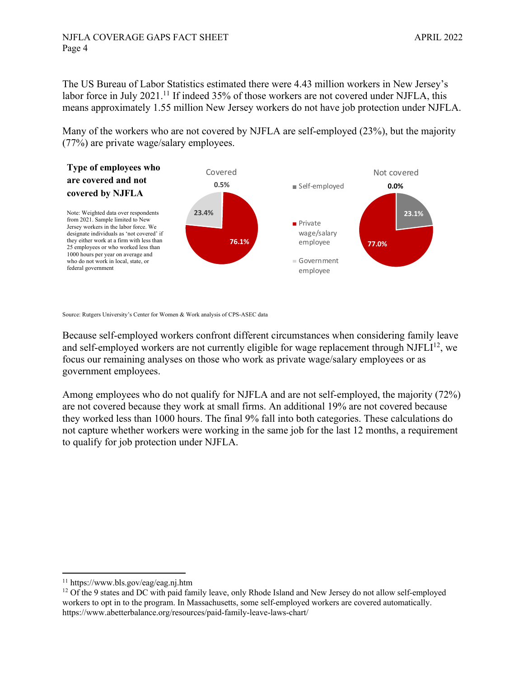#### NJFLA COVERAGE GAPS FACT SHEET APRIL 2022 Page 4

The US Bureau of Labor Statistics estimated there were 4.43 million workers in New Jersey's labor force in July 2021.<sup>11</sup> If indeed 35% of those workers are not covered under NJFLA, this means approximately 1.55 million New Jersey workers do not have job protection under NJFLA.

Many of the workers who are not covered by NJFLA are self-employed (23%), but the majority (77%) are private wage/salary employees.



Source: Rutgers University's Center for Women & Work analysis of CPS-ASEC data

Because self-employed workers confront different circumstances when considering family leave and self-employed workers are not currently eligible for wage replacement through  $NIFLI<sup>12</sup>$ , we focus our remaining analyses on those who work as private wage/salary employees or as government employees.

Among employees who do not qualify for NJFLA and are not self-employed, the majority (72%) are not covered because they work at small firms. An additional 19% are not covered because they worked less than 1000 hours. The final 9% fall into both categories. These calculations do not capture whether workers were working in the same job for the last 12 months, a requirement to qualify for job protection under NJFLA.

<sup>&</sup>lt;sup>11</sup> https://www.bls.gov/eag/eag.nj.htm<br><sup>12</sup> Of the 9 states and DC with paid family leave, only Rhode Island and New Jersey do not allow self-employed workers to opt in to the program. In Massachusetts, some self-employed workers are covered automatically. https://www.abetterbalance.org/resources/paid-family-leave-laws-chart/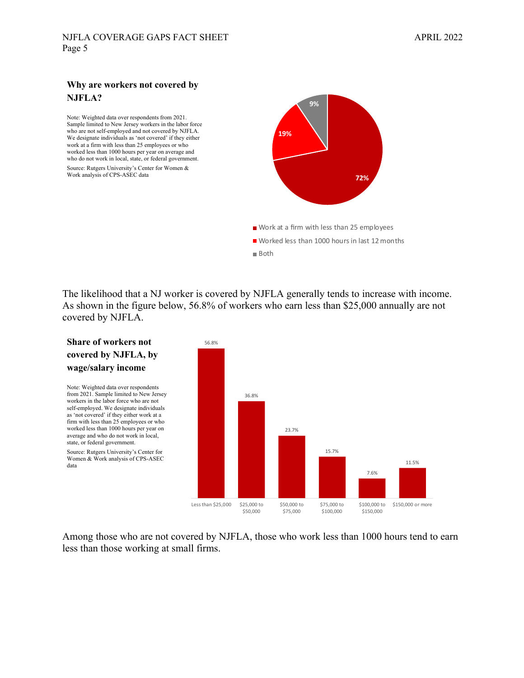#### **Why are workers not covered by NJFLA?**

Note: Weighted data over respondents from 2021. Sample limited to New Jersey workers in the labor force who are not self-employed and not covered by NJFLA. We designate individuals as 'not covered' if they either work at a firm with less than 25 employees or who worked less than 1000 hours per year on average and who do not work in local, state, or federal government. Source: Rutgers University's Center for Women & Work analysis of CPS-ASEC data



The likelihood that a NJ worker is covered by NJFLA generally tends to increase with income. As shown in the figure below, 56.8% of workers who earn less than \$25,000 annually are not covered by NJFLA.



Among those who are not covered by NJFLA, those who work less than 1000 hours tend to earn less than those working at small firms.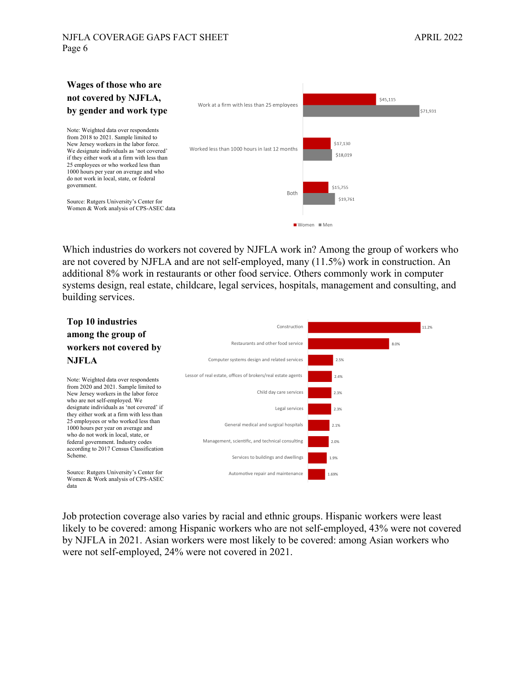## **Wages of those who are not covered by NJFLA, by gender and work type**

Note: Weighted data over respondents from 2018 to 2021. Sample limited to New Jersey workers in the labor force. We designate individuals as 'not covered' if they either work at a firm with less than 25 employees or who worked less than 1000 hours per year on average and who do not work in local, state, or federal government.

Source: Rutgers University's Center for Women & Work analysis of CPS-ASEC data



Which industries do workers not covered by NJFLA work in? Among the group of workers who are not covered by NJFLA and are not self-employed, many (11.5%) work in construction. An additional 8% work in restaurants or other food service. Others commonly work in computer systems design, real estate, childcare, legal services, hospitals, management and consulting, and building services.



Job protection coverage also varies by racial and ethnic groups. Hispanic workers were least likely to be covered: among Hispanic workers who are not self-employed, 43% were not covered by NJFLA in 2021. Asian workers were most likely to be covered: among Asian workers who were not self-employed, 24% were not covered in 2021.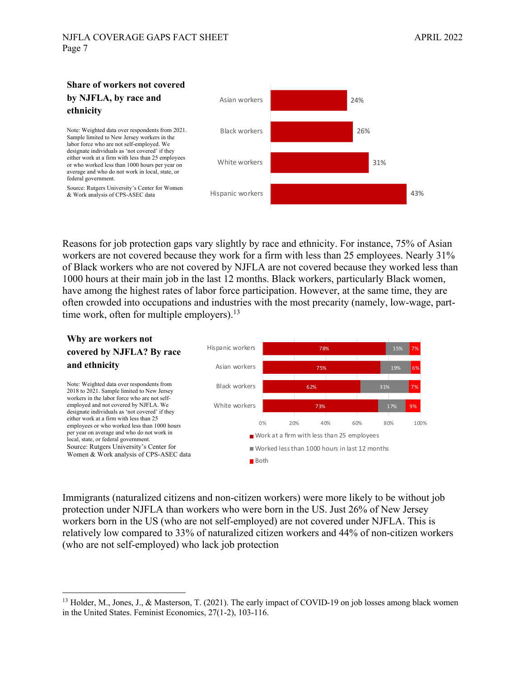

Reasons for job protection gaps vary slightly by race and ethnicity. For instance, 75% of Asian workers are not covered because they work for a firm with less than 25 employees. Nearly 31% of Black workers who are not covered by NJFLA are not covered because they worked less than 1000 hours at their main job in the last 12 months. Black workers, particularly Black women, have among the highest rates of labor force participation. However, at the same time, they are often crowded into occupations and industries with the most precarity (namely, low-wage, parttime work, often for multiple employers). $13$ 



Immigrants (naturalized citizens and non-citizen workers) were more likely to be without job protection under NJFLA than workers who were born in the US. Just 26% of New Jersey workers born in the US (who are not self-employed) are not covered under NJFLA. This is relatively low compared to 33% of naturalized citizen workers and 44% of non-citizen workers (who are not self-employed) who lack job protection

<sup>&</sup>lt;sup>13</sup> Holder, M., Jones, J., & Masterson, T. (2021). The early impact of COVID-19 on job losses among black women in the United States. Feminist Economics, 27(1-2), 103-116.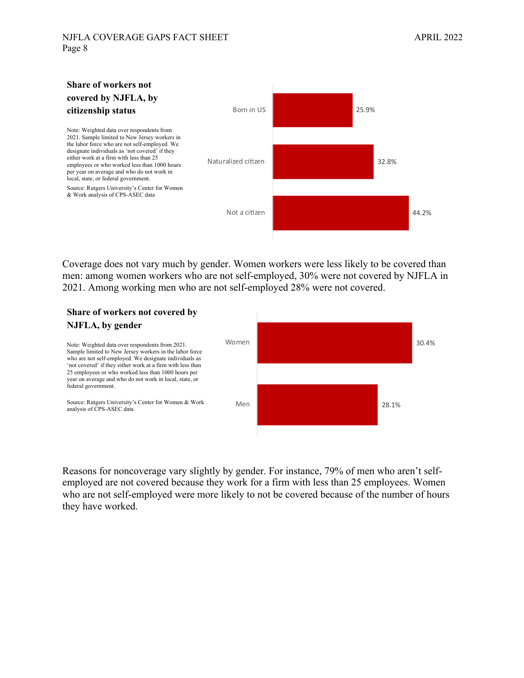

Coverage does not vary much by gender. Women workers were less likely to be covered than men: among women workers who are not self-employed, 30% were not covered by NJFLA in 2021. Among working men who are not self-employed 28% were not covered.

#### **Share of workers not covered by NJFLA, by gender**



Reasons for noncoverage vary slightly by gender. For instance, 79% of men who aren't selfemployed are not covered because they work for a firm with less than 25 employees. Women who are not self-employed were more likely to not be covered because of the number of hours they have worked.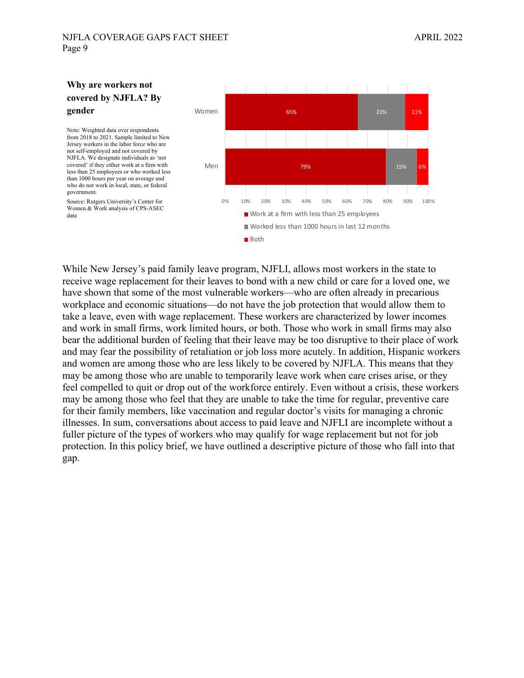

While New Jersey's paid family leave program, NJFLI, allows most workers in the state to receive wage replacement for their leaves to bond with a new child or care for a loved one, we have shown that some of the most vulnerable workers—who are often already in precarious workplace and economic situations—do not have the job protection that would allow them to take a leave, even with wage replacement. These workers are characterized by lower incomes and work in small firms, work limited hours, or both. Those who work in small firms may also bear the additional burden of feeling that their leave may be too disruptive to their place of work and may fear the possibility of retaliation or job loss more acutely. In addition, Hispanic workers and women are among those who are less likely to be covered by NJFLA. This means that they may be among those who are unable to temporarily leave work when care crises arise, or they feel compelled to quit or drop out of the workforce entirely. Even without a crisis, these workers may be among those who feel that they are unable to take the time for regular, preventive care for their family members, like vaccination and regular doctor's visits for managing a chronic illnesses. In sum, conversations about access to paid leave and NJFLI are incomplete without a fuller picture of the types of workers who may qualify for wage replacement but not for job protection. In this policy brief, we have outlined a descriptive picture of those who fall into that gap.